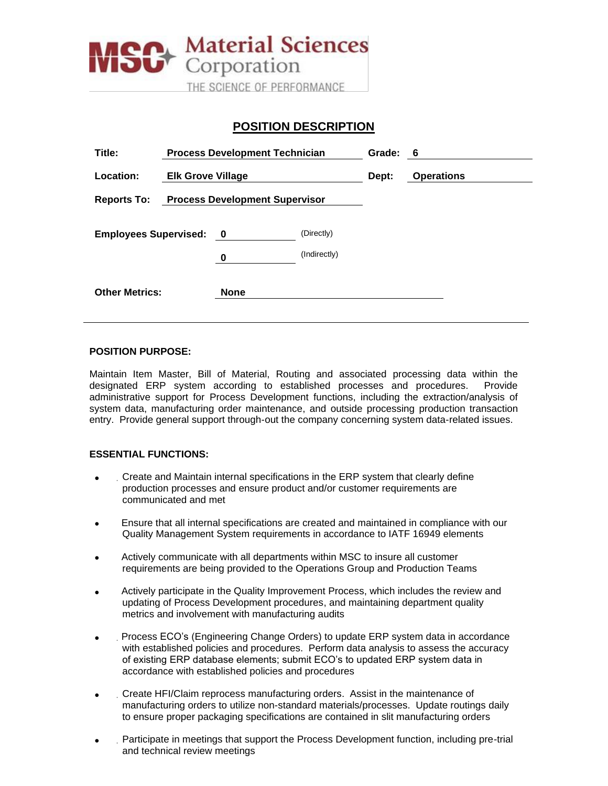

# **POSITION DESCRIPTION**

| Title:                                                      | <b>Process Development Technician</b> |             | Grade: 6                   |       |                   |  |
|-------------------------------------------------------------|---------------------------------------|-------------|----------------------------|-------|-------------------|--|
| Location:                                                   | <b>Elk Grove Village</b>              |             |                            | Dept: | <b>Operations</b> |  |
| <b>Process Development Supervisor</b><br><b>Reports To:</b> |                                       |             |                            |       |                   |  |
| <b>Employees Supervised: 0</b>                              |                                       | 0           | (Directly)<br>(Indirectly) |       |                   |  |
| <b>Other Metrics:</b>                                       |                                       | <b>None</b> |                            |       |                   |  |

#### **POSITION PURPOSE:**

Maintain Item Master, Bill of Material, Routing and associated processing data within the designated ERP system according to established processes and procedures. Provide administrative support for Process Development functions, including the extraction/analysis of system data, manufacturing order maintenance, and outside processing production transaction entry. Provide general support through-out the company concerning system data-related issues.

### **ESSENTIAL FUNCTIONS:**

- . Create and Maintain internal specifications in the ERP system that clearly define production processes and ensure product and/or customer requirements are communicated and met
- Ensure that all internal specifications are created and maintained in compliance with our Quality Management System requirements in accordance to IATF 16949 elements
- Actively communicate with all departments within MSC to insure all customer requirements are being provided to the Operations Group and Production Teams
- Actively participate in the Quality Improvement Process, which includes the review and updating of Process Development procedures, and maintaining department quality metrics and involvement with manufacturing audits
- . Process ECO's (Engineering Change Orders) to update ERP system data in accordance with established policies and procedures. Perform data analysis to assess the accuracy of existing ERP database elements; submit ECO's to updated ERP system data in accordance with established policies and procedures
- . Create HFI/Claim reprocess manufacturing orders. Assist in the maintenance of manufacturing orders to utilize non-standard materials/processes. Update routings daily to ensure proper packaging specifications are contained in slit manufacturing orders
- . Participate in meetings that support the Process Development function, including pre-trial and technical review meetings